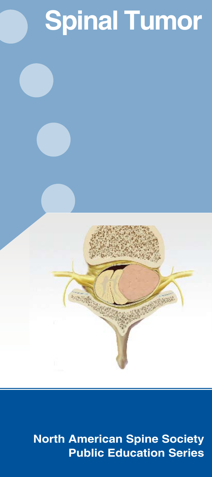# **Spinal Tumor**



### **North American Spine Society Public Education Series**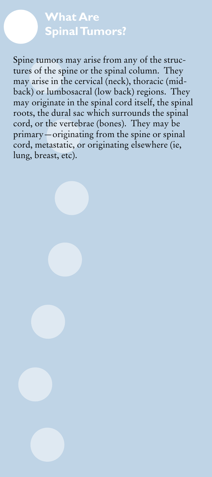#### **What Are Spinal Tumors?**

Spine tumors may arise from any of the structures of the spine or the spinal column. They may arise in the cervical (neck), thoracic (midback) or lumbosacral (low back) regions. They may originate in the spinal cord itself, the spinal roots, the dural sac which surrounds the spinal cord, or the vertebrae (bones). They may be primary—originating from the spine or spinal cord, metastatic, or originating elsewhere (ie, lung, breast, etc).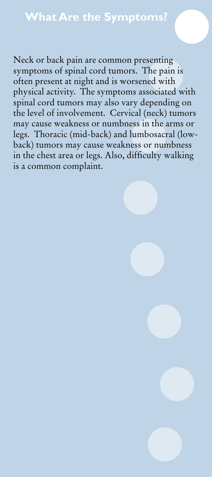#### **What Are the Symptoms?**

Neck or back pain are common presenting symptoms of spinal cord tumors. The pain is often present at night and is worsened with physical activity. The symptoms associated with spinal cord tumors may also vary depending on the level of involvement. Cervical (neck) tumors may cause weakness or numbness in the arms or legs. Thoracic (mid-back) and lumbosacral (lowback) tumors may cause weakness or numbness in the chest area or legs. Also, difficulty walking is a common complaint.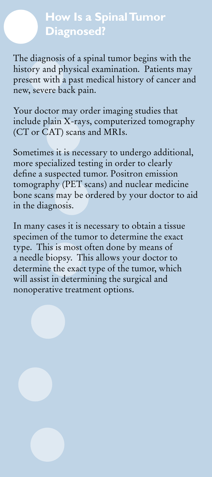# **How Is a Spinal Tumor Diagnosed?**

The diagnosis of a spinal tumor begins with the history and physical examination. Patients may present with a past medical history of cancer and new, severe back pain.

Your doctor may order imaging studies that include plain X-rays, computerized tomography (CT or CAT) scans and MRIs.

Sometimes it is necessary to undergo additional, more specialized testing in order to clearly define a suspected tumor. Positron emission tomography (PET scans) and nuclear medicine bone scans may be ordered by your doctor to aid in the diagnosis.

In many cases it is necessary to obtain a tissue specimen of the tumor to determine the exact type. This is most often done by means of a needle biopsy. This allows your doctor to determine the exact type of the tumor, which will assist in determining the surgical and nonoperative treatment options.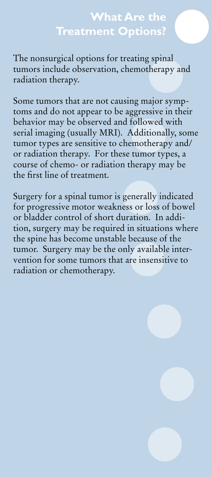#### **What Are the Treatment Options?**

The nonsurgical options for treating spinal tumors include observation, chemotherapy and radiation therapy.

Some tumors that are not causing major symptoms and do not appear to be aggressive in their behavior may be observed and followed with serial imaging (usually MRI). Additionally, some tumor types are sensitive to chemotherapy and/ or radiation therapy. For these tumor types, a course of chemo- or radiation therapy may be the first line of treatment.

Surgery for a spinal tumor is generally indicated for progressive motor weakness or loss of bowel or bladder control of short duration. In addition, surgery may be required in situations where the spine has become unstable because of the tumor. Surgery may be the only available intervention for some tumors that are insensitive to radiation or chemotherapy.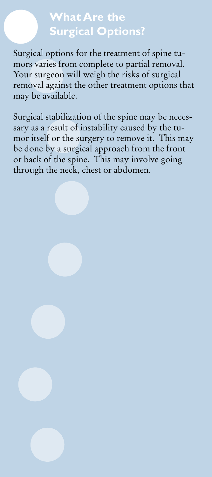### **What Are the Surgical Options?**

Surgical options for the treatment of spine tumors varies from complete to partial removal. Your surgeon will weigh the risks of surgical removal against the other treatment options that may be available.

Surgical stabilization of the spine may be necessary as a result of instability caused by the tumor itself or the surgery to remove it. This may be done by a surgical approach from the front or back of the spine. This may involve going through the neck, chest or abdomen.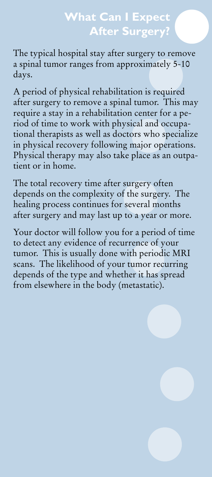# **What Can I Expect After Surgery?**

The typical hospital stay after surgery to remove a spinal tumor ranges from approximately 5-10 days.

A period of physical rehabilitation is required after surgery to remove a spinal tumor. This may require a stay in a rehabilitation center for a period of time to work with physical and occupational therapists as well as doctors who specialize in physical recovery following major operations. Physical therapy may also take place as an outpatient or in home.

The total recovery time after surgery often depends on the complexity of the surgery. The healing process continues for several months after surgery and may last up to a year or more.

Your doctor will follow you for a period of time to detect any evidence of recurrence of your tumor. This is usually done with periodic MRI scans. The likelihood of your tumor recurring depends of the type and whether it has spread from elsewhere in the body (metastatic).